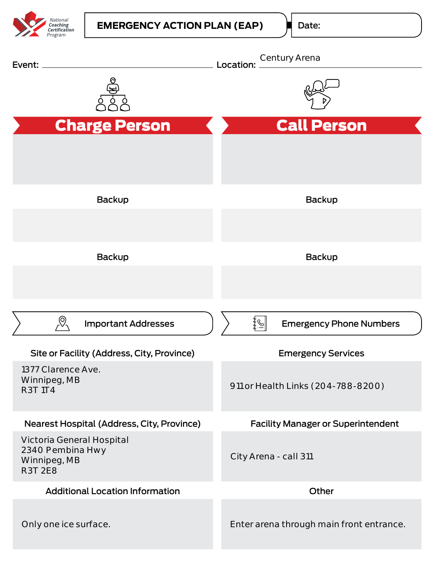

Date: